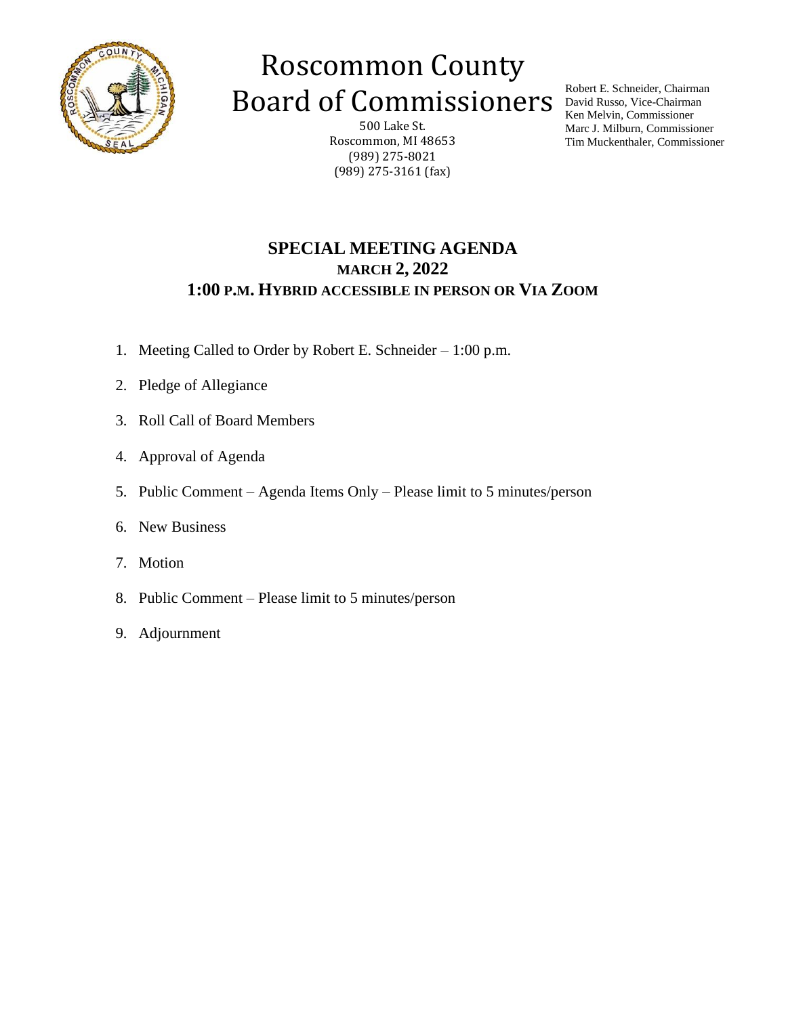

## Roscommon County Board of Commissioners

500 Lake St. Roscommon, MI 48653 (989) 275-8021 (989) 275-3161 (fax)

Robert E. Schneider, Chairman David Russo, Vice-Chairman Ken Melvin, Commissioner Marc J. Milburn, Commissioner Tim Muckenthaler, Commissioner

### **SPECIAL MEETING AGENDA MARCH 2, 2022 1:00 P.M. HYBRID ACCESSIBLE IN PERSON OR VIA ZOOM**

- 1. Meeting Called to Order by Robert E. Schneider 1:00 p.m.
- 2. Pledge of Allegiance
- 3. Roll Call of Board Members
- 4. Approval of Agenda
- 5. Public Comment Agenda Items Only Please limit to 5 minutes/person
- 6. New Business
- 7. Motion
- 8. Public Comment Please limit to 5 minutes/person
- 9. Adjournment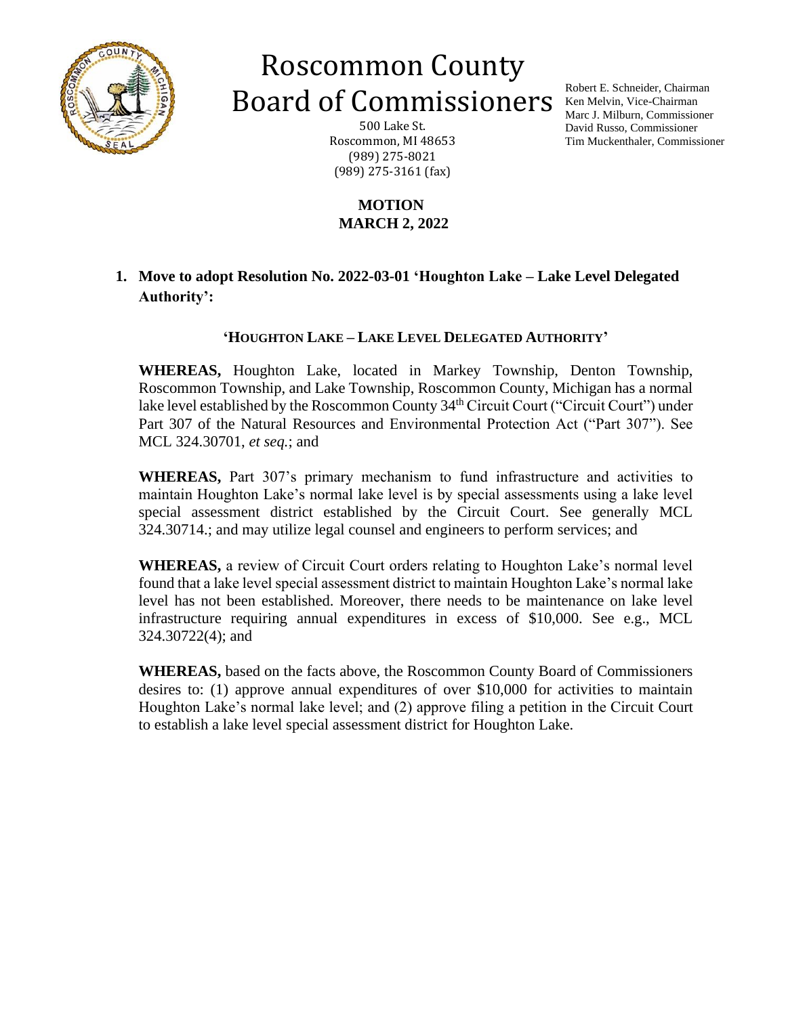

# Roscommon County Board of Commissioners

500 Lake St. Roscommon, MI 48653 (989) 275-8021 (989) 275-3161 (fax)

### **MOTION MARCH 2, 2022**

**1. Move to adopt Resolution No. 2022-03-01 'Houghton Lake – Lake Level Delegated Authority':**

#### **'HOUGHTON LAKE – LAKE LEVEL DELEGATED AUTHORITY'**

**WHEREAS,** Houghton Lake, located in Markey Township, Denton Township, Roscommon Township, and Lake Township, Roscommon County, Michigan has a normal lake level established by the Roscommon County 34<sup>th</sup> Circuit Court ("Circuit Court") under Part 307 of the Natural Resources and Environmental Protection Act ("Part 307"). See MCL 324.30701, *et seq.*; and

**WHEREAS,** Part 307's primary mechanism to fund infrastructure and activities to maintain Houghton Lake's normal lake level is by special assessments using a lake level special assessment district established by the Circuit Court. See generally MCL 324.30714.; and may utilize legal counsel and engineers to perform services; and

**WHEREAS,** a review of Circuit Court orders relating to Houghton Lake's normal level found that a lake level special assessment district to maintain Houghton Lake's normal lake level has not been established. Moreover, there needs to be maintenance on lake level infrastructure requiring annual expenditures in excess of \$10,000. See e.g., MCL 324.30722(4); and

**WHEREAS,** based on the facts above, the Roscommon County Board of Commissioners desires to: (1) approve annual expenditures of over \$10,000 for activities to maintain Houghton Lake's normal lake level; and (2) approve filing a petition in the Circuit Court to establish a lake level special assessment district for Houghton Lake.

Robert E. Schneider, Chairman Ken Melvin, Vice-Chairman Marc J. Milburn, Commissioner David Russo, Commissioner Tim Muckenthaler, Commissioner